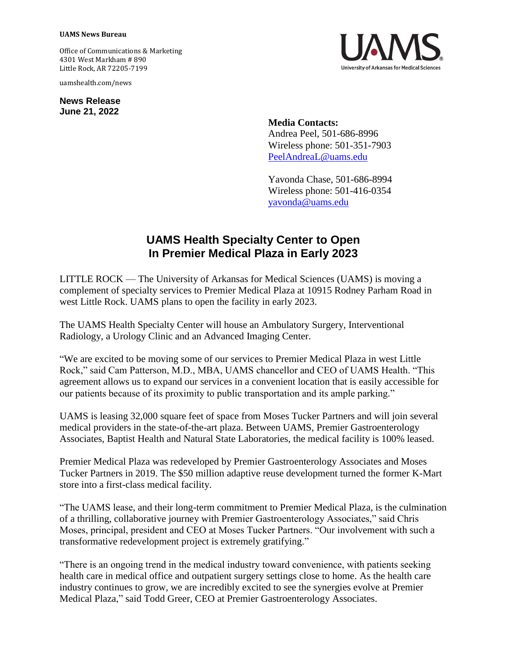## **UAMS News Bureau**

Office of Communications & Marketing 4301 West Markham # 890 Little Rock, AR 72205-7199

uamshealth.com/news

**News Release June 21, 2022**



**Media Contacts:** Andrea Peel, 501-686-8996 Wireless phone: 501-351-7903 [PeelAndreaL@uams.edu](mailto:PeelAndreaL@uams.edu)

Yavonda Chase, 501-686-8994 Wireless phone: 501-416-0354 [yavonda@uams.edu](mailto:yavonda@uams.edu)

## **UAMS Health Specialty Center to Open In Premier Medical Plaza in Early 2023**

LITTLE ROCK — The University of Arkansas for Medical Sciences (UAMS) is moving a complement of specialty services to Premier Medical Plaza at 10915 Rodney Parham Road in west Little Rock. UAMS plans to open the facility in early 2023.

The UAMS Health Specialty Center will house an Ambulatory Surgery, Interventional Radiology, a Urology Clinic and an Advanced Imaging Center.

"We are excited to be moving some of our services to Premier Medical Plaza in west Little Rock," said Cam Patterson, M.D., MBA, UAMS chancellor and CEO of UAMS Health. "This agreement allows us to expand our services in a convenient location that is easily accessible for our patients because of its proximity to public transportation and its ample parking."

UAMS is leasing 32,000 square feet of space from Moses Tucker Partners and will join several medical providers in the state-of-the-art plaza. Between UAMS, Premier Gastroenterology Associates, Baptist Health and Natural State Laboratories, the medical facility is 100% leased.

Premier Medical Plaza was redeveloped by Premier Gastroenterology Associates and Moses Tucker Partners in 2019. The \$50 million adaptive reuse development turned the former K-Mart store into a first-class medical facility.

"The UAMS lease, and their long-term commitment to Premier Medical Plaza, is the culmination of a thrilling, collaborative journey with Premier Gastroenterology Associates," said Chris Moses, principal, president and CEO at Moses Tucker Partners. "Our involvement with such a transformative redevelopment project is extremely gratifying."

"There is an ongoing trend in the medical industry toward convenience, with patients seeking health care in medical office and outpatient surgery settings close to home. As the health care industry continues to grow, we are incredibly excited to see the synergies evolve at Premier Medical Plaza," said Todd Greer, CEO at Premier Gastroenterology Associates.